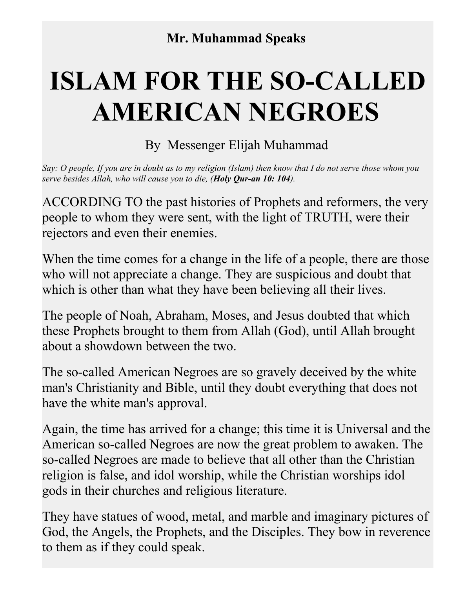## **ISLAM FOR THE SO-CALLED AMERICAN NEGROES**

By Messenger Elijah Muhammad

*Say: O people, If you are in doubt as to my religion (Islam) then know that I do not serve those whom you serve besides Allah, who will cause you to die, (Holy Qur-an 10: 104).* 

ACCORDING TO the past histories of Prophets and reformers, the very people to whom they were sent, with the light of TRUTH, were their rejectors and even their enemies.

When the time comes for a change in the life of a people, there are those who will not appreciate a change. They are suspicious and doubt that which is other than what they have been believing all their lives.

The people of Noah, Abraham, Moses, and Jesus doubted that which these Prophets brought to them from Allah (God), until Allah brought about a showdown between the two.

The so-called American Negroes are so gravely deceived by the white man's Christianity and Bible, until they doubt everything that does not have the white man's approval.

Again, the time has arrived for a change; this time it is Universal and the American so-called Negroes are now the great problem to awaken. The so-called Negroes are made to believe that all other than the Christian religion is false, and idol worship, while the Christian worships idol gods in their churches and religious literature.

They have statues of wood, metal, and marble and imaginary pictures of God, the Angels, the Prophets, and the Disciples. They bow in reverence to them as if they could speak.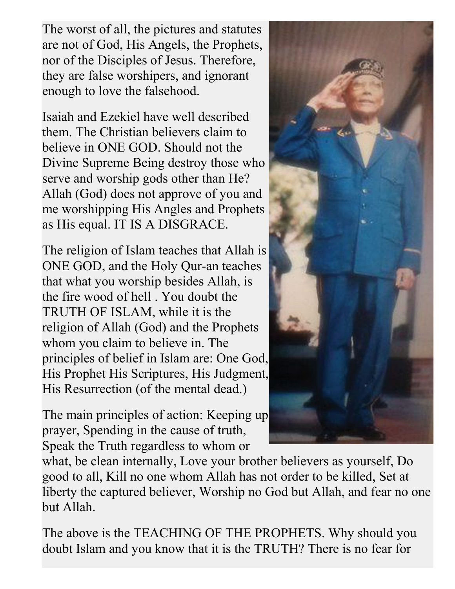The worst of all, the pictures and statutes are not of God, His Angels, the Prophets, nor of the Disciples of Jesus. Therefore, they are false worshipers, and ignorant enough to love the falsehood.

Isaiah and Ezekiel have well described them. The Christian believers claim to believe in ONE GOD. Should not the Divine Supreme Being destroy those who serve and worship gods other than He? Allah (God) does not approve of you and me worshipping His Angles and Prophets as His equal. IT IS A DISGRACE.

The religion of Islam teaches that Allah is ONE GOD, and the Holy Qur-an teaches that what you worship besides Allah, is the fire wood of hell . You doubt the TRUTH OF ISLAM, while it is the religion of Allah (God) and the Prophets whom you claim to believe in. The principles of belief in Islam are: One God, His Prophet His Scriptures, His Judgment, His Resurrection (of the mental dead.)

The main principles of action: Keeping up prayer, Spending in the cause of truth, Speak the Truth regardless to whom or



what, be clean internally, Love your brother believers as yourself, Do good to all, Kill no one whom Allah has not order to be killed, Set at liberty the captured believer, Worship no God but Allah, and fear no one but Allah.

The above is the TEACHING OF THE PROPHETS. Why should you doubt Islam and you know that it is the TRUTH? There is no fear for